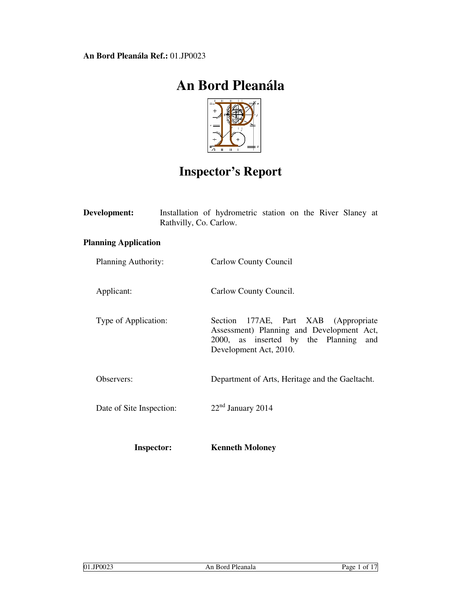# **An Bord Pleanála**



# **Inspector's Report**

| <b>Development:</b>         | Rathvilly, Co. Carlow. | Installation of hydrometric station on the River Slaney at                                                                                              |
|-----------------------------|------------------------|---------------------------------------------------------------------------------------------------------------------------------------------------------|
| <b>Planning Application</b> |                        |                                                                                                                                                         |
| Planning Authority:         |                        | Carlow County Council                                                                                                                                   |
| Applicant:                  |                        | Carlow County Council.                                                                                                                                  |
| Type of Application:        |                        | 177AE, Part XAB (Appropriate<br>Section<br>Assessment) Planning and Development Act,<br>2000, as inserted by the Planning and<br>Development Act, 2010. |
| Observers:                  |                        | Department of Arts, Heritage and the Gaeltacht.                                                                                                         |
| Date of Site Inspection:    |                        | $22nd$ January 2014                                                                                                                                     |
| <b>Inspector:</b>           |                        | <b>Kenneth Moloney</b>                                                                                                                                  |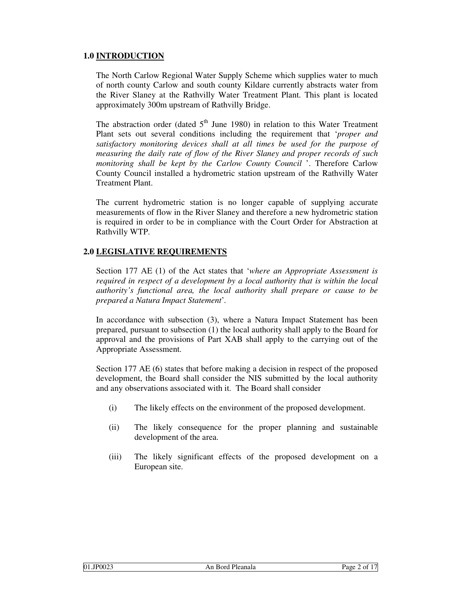# **1.0 INTRODUCTION**

The North Carlow Regional Water Supply Scheme which supplies water to much of north county Carlow and south county Kildare currently abstracts water from the River Slaney at the Rathvilly Water Treatment Plant. This plant is located approximately 300m upstream of Rathvilly Bridge.

The abstraction order (dated  $5<sup>th</sup>$  June 1980) in relation to this Water Treatment Plant sets out several conditions including the requirement that '*proper and satisfactory monitoring devices shall at all times be used for the purpose of measuring the daily rate of flow of the River Slaney and proper records of such monitoring shall be kept by the Carlow County Council* '. Therefore Carlow County Council installed a hydrometric station upstream of the Rathvilly Water Treatment Plant.

The current hydrometric station is no longer capable of supplying accurate measurements of flow in the River Slaney and therefore a new hydrometric station is required in order to be in compliance with the Court Order for Abstraction at Rathvilly WTP.

#### **2.0 LEGISLATIVE REQUIREMENTS**

Section 177 AE (1) of the Act states that '*where an Appropriate Assessment is required in respect of a development by a local authority that is within the local authority's functional area, the local authority shall prepare or cause to be prepared a Natura Impact Statement*'*.*

In accordance with subsection (3), where a Natura Impact Statement has been prepared, pursuant to subsection (1) the local authority shall apply to the Board for approval and the provisions of Part XAB shall apply to the carrying out of the Appropriate Assessment.

Section 177 AE (6) states that before making a decision in respect of the proposed development, the Board shall consider the NIS submitted by the local authority and any observations associated with it. The Board shall consider

- (i) The likely effects on the environment of the proposed development.
- (ii) The likely consequence for the proper planning and sustainable development of the area.
- (iii) The likely significant effects of the proposed development on a European site.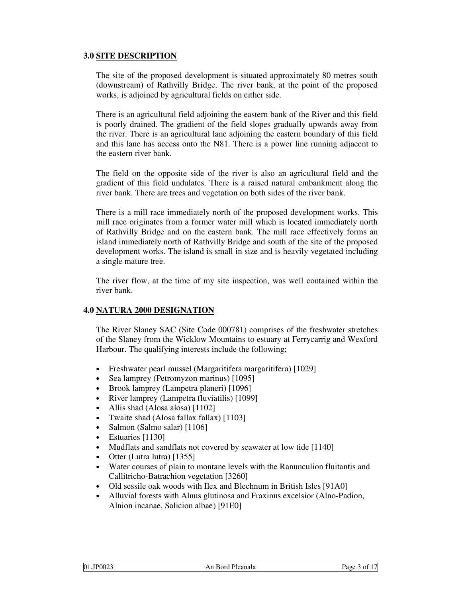# **3.0 SITE DESCRIPTION**

The site of the proposed development is situated approximately 80 metres south (downstream) of Rathvilly Bridge. The river bank, at the point of the proposed works, is adjoined by agricultural fields on either side.

There is an agricultural field adjoining the eastern bank of the River and this field is poorly drained. The gradient of the field slopes gradually upwards away from the river. There is an agricultural lane adjoining the eastern boundary of this field and this lane has access onto the N81. There is a power line running adjacent to the eastern river bank.

The field on the opposite side of the river is also an agricultural field and the gradient of this field undulates. There is a raised natural embankment along the river bank. There are trees and vegetation on both sides of the river bank.

There is a mill race immediately north of the proposed development works. This mill race originates from a former water mill which is located immediately north of Rathvilly Bridge and on the eastern bank. The mill race effectively forms an island immediately north of Rathvilly Bridge and south of the site of the proposed development works. The island is small in size and is heavily vegetated including a single mature tree.

The river flow, at the time of my site inspection, was well contained within the river bank.

#### **4.0 NATURA 2000 DESIGNATION**

The River Slaney SAC (Site Code 000781) comprises of the freshwater stretches of the Slaney from the Wicklow Mountains to estuary at Ferrycarrig and Wexford Harbour. The qualifying interests include the following;

- Freshwater pearl mussel (Margaritifera margaritifera) [1029]
- Sea lamprey (Petromyzon marinus) [1095]
- Brook lamprey (Lampetra planeri) [1096]
- River lamprey (Lampetra fluviatilis) [1099]
- Allis shad (Alosa alosa) [1102]
- Twaite shad (Alosa fallax fallax) [1103]
- Salmon (Salmo salar) [1106]
- Estuaries [1130]
- Mudflats and sandflats not covered by seawater at low tide [1140]
- Otter (Lutra lutra) [1355]
- Water courses of plain to montane levels with the Ranunculion fluitantis and Callitricho-Batrachion vegetation [3260]
- Old sessile oak woods with Ilex and Blechnum in British Isles [91A0]
- Alluvial forests with Alnus glutinosa and Fraxinus excelsior (Alno-Padion, Alnion incanae, Salicion albae) [91E0]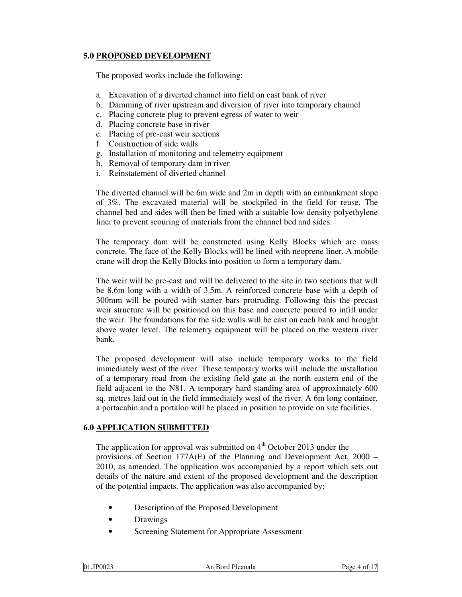# **5.0 PROPOSED DEVELOPMENT**

The proposed works include the following;

- a. Excavation of a diverted channel into field on east bank of river
- b. Damming of river upstream and diversion of river into temporary channel
- c. Placing concrete plug to prevent egress of water to weir
- d. Placing concrete base in river
- e. Placing of pre-cast weir sections
- f. Construction of side walls
- g. Installation of monitoring and telemetry equipment
- h. Removal of temporary dam in river
- i. Reinstatement of diverted channel

The diverted channel will be 6m wide and 2m in depth with an embankment slope of 3%. The excavated material will be stockpiled in the field for reuse. The channel bed and sides will then be lined with a suitable low density polyethylene liner to prevent scouring of materials from the channel bed and sides.

The temporary dam will be constructed using Kelly Blocks which are mass concrete. The face of the Kelly Blocks will be lined with neoprene liner. A mobile crane will drop the Kelly Blocks into position to form a temporary dam.

The weir will be pre-cast and will be delivered to the site in two sections that will be 8.6m long with a width of 3.5m. A reinforced concrete base with a depth of 300mm will be poured with starter bars protruding. Following this the precast weir structure will be positioned on this base and concrete poured to infill under the weir. The foundations for the side walls will be cast on each bank and brought above water level. The telemetry equipment will be placed on the western river bank.

The proposed development will also include temporary works to the field immediately west of the river. These temporary works will include the installation of a temporary road from the existing field gate at the north eastern end of the field adjacent to the N81. A temporary hard standing area of approximately 600 sq. metres laid out in the field immediately west of the river. A 6m long container, a portacabin and a portaloo will be placed in position to provide on site facilities.

# **6.0 APPLICATION SUBMITTED**

The application for approval was submitted on  $4<sup>th</sup>$  October 2013 under the provisions of Section 177A(E) of the Planning and Development Act, 2000 – 2010, as amended. The application was accompanied by a report which sets out details of the nature and extent of the proposed development and the description of the potential impacts. The application was also accompanied by;

- Description of the Proposed Development
- **Drawings**
- Screening Statement for Appropriate Assessment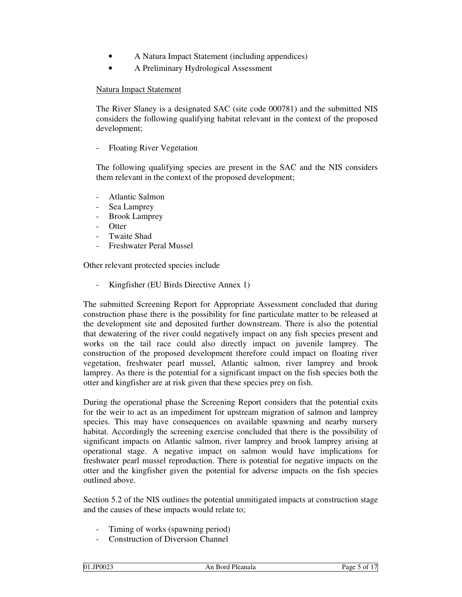- A Natura Impact Statement (including appendices)
- A Preliminary Hydrological Assessment

#### Natura Impact Statement

The River Slaney is a designated SAC (site code 000781) and the submitted NIS considers the following qualifying habitat relevant in the context of the proposed development;

- Floating River Vegetation

The following qualifying species are present in the SAC and the NIS considers them relevant in the context of the proposed development;

- Atlantic Salmon
- Sea Lamprey
- Brook Lamprey
- Otter
- Twaite Shad
- Freshwater Peral Mussel

Other relevant protected species include

Kingfisher (EU Birds Directive Annex 1)

The submitted Screening Report for Appropriate Assessment concluded that during construction phase there is the possibility for fine particulate matter to be released at the development site and deposited further downstream. There is also the potential that dewatering of the river could negatively impact on any fish species present and works on the tail race could also directly impact on juvenile lamprey. The construction of the proposed development therefore could impact on floating river vegetation, freshwater pearl mussel, Atlantic salmon, river lamprey and brook lamprey. As there is the potential for a significant impact on the fish species both the otter and kingfisher are at risk given that these species prey on fish.

During the operational phase the Screening Report considers that the potential exits for the weir to act as an impediment for upstream migration of salmon and lamprey species. This may have consequences on available spawning and nearby nursery habitat. Accordingly the screening exercise concluded that there is the possibility of significant impacts on Atlantic salmon, river lamprey and brook lamprey arising at operational stage. A negative impact on salmon would have implications for freshwater pearl mussel reproduction. There is potential for negative impacts on the otter and the kingfisher given the potential for adverse impacts on the fish species outlined above.

Section 5.2 of the NIS outlines the potential unmitigated impacts at construction stage and the causes of these impacts would relate to;

- Timing of works (spawning period)
- Construction of Diversion Channel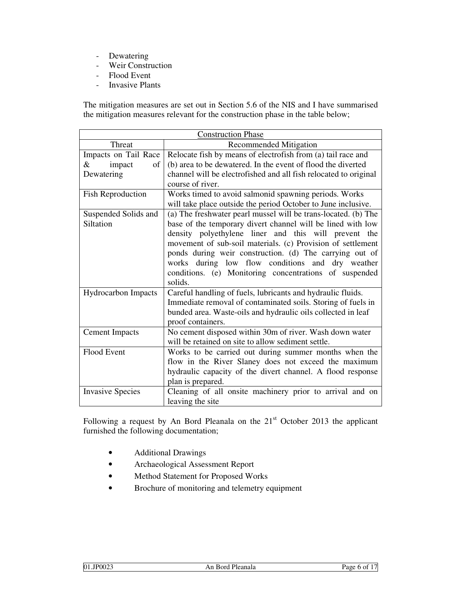- Dewatering
- Weir Construction
- Flood Event
- Invasive Plants

The mitigation measures are set out in Section 5.6 of the NIS and I have summarised the mitigation measures relevant for the construction phase in the table below;

| <b>Construction Phase</b>  |                                                                                      |  |
|----------------------------|--------------------------------------------------------------------------------------|--|
| Threat                     | <b>Recommended Mitigation</b>                                                        |  |
| Impacts on Tail Race       | Relocate fish by means of electrofish from (a) tail race and                         |  |
| $\&$<br>impact<br>of       | (b) area to be dewatered. In the event of flood the diverted                         |  |
| Dewatering                 | channel will be electrofished and all fish relocated to original<br>course of river. |  |
| <b>Fish Reproduction</b>   | Works timed to avoid salmonid spawning periods. Works                                |  |
|                            | will take place outside the period October to June inclusive.                        |  |
| Suspended Solids and       | (a) The freshwater pearl mussel will be trans-located. (b) The                       |  |
| Siltation                  | base of the temporary divert channel will be lined with low                          |  |
|                            | density polyethylene liner and this will prevent the                                 |  |
|                            | movement of sub-soil materials. (c) Provision of settlement                          |  |
|                            | ponds during weir construction. (d) The carrying out of                              |  |
|                            | works during low flow conditions and dry weather                                     |  |
|                            | conditions. (e) Monitoring concentrations of suspended<br>solids.                    |  |
| <b>Hydrocarbon Impacts</b> | Careful handling of fuels, lubricants and hydraulic fluids.                          |  |
|                            | Immediate removal of contaminated soils. Storing of fuels in                         |  |
|                            | bunded area. Waste-oils and hydraulic oils collected in leaf                         |  |
|                            | proof containers.                                                                    |  |
| <b>Cement Impacts</b>      | No cement disposed within 30m of river. Wash down water                              |  |
|                            | will be retained on site to allow sediment settle.                                   |  |
| Flood Event                | Works to be carried out during summer months when the                                |  |
|                            | flow in the River Slaney does not exceed the maximum                                 |  |
|                            | hydraulic capacity of the divert channel. A flood response                           |  |
|                            | plan is prepared.                                                                    |  |
| <b>Invasive Species</b>    | Cleaning of all onsite machinery prior to arrival and on                             |  |
|                            | leaving the site                                                                     |  |

Following a request by An Bord Pleanala on the  $21<sup>st</sup>$  October 2013 the applicant furnished the following documentation;

- Additional Drawings
- Archaeological Assessment Report
- Method Statement for Proposed Works
- Brochure of monitoring and telemetry equipment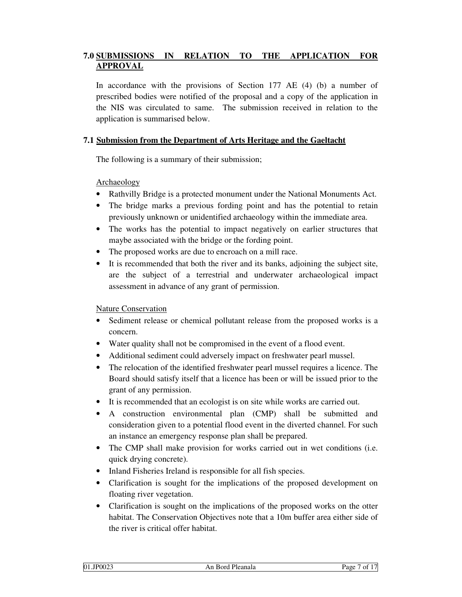# **7.0 SUBMISSIONS IN RELATION TO THE APPLICATION FOR APPROVAL**

In accordance with the provisions of Section 177 AE  $(4)$  (b) a number of prescribed bodies were notified of the proposal and a copy of the application in the NIS was circulated to same. The submission received in relation to the application is summarised below.

# **7.1 Submission from the Department of Arts Heritage and the Gaeltacht**

The following is a summary of their submission;

Archaeology

- Rathvilly Bridge is a protected monument under the National Monuments Act.
- The bridge marks a previous fording point and has the potential to retain previously unknown or unidentified archaeology within the immediate area.
- The works has the potential to impact negatively on earlier structures that maybe associated with the bridge or the fording point.
- The proposed works are due to encroach on a mill race.
- It is recommended that both the river and its banks, adjoining the subject site, are the subject of a terrestrial and underwater archaeological impact assessment in advance of any grant of permission.

Nature Conservation

- Sediment release or chemical pollutant release from the proposed works is a concern.
- Water quality shall not be compromised in the event of a flood event.
- Additional sediment could adversely impact on freshwater pearl mussel.
- The relocation of the identified freshwater pearl mussel requires a licence. The Board should satisfy itself that a licence has been or will be issued prior to the grant of any permission.
- It is recommended that an ecologist is on site while works are carried out.
- A construction environmental plan (CMP) shall be submitted and consideration given to a potential flood event in the diverted channel. For such an instance an emergency response plan shall be prepared.
- The CMP shall make provision for works carried out in wet conditions (i.e. quick drying concrete).
- Inland Fisheries Ireland is responsible for all fish species.
- Clarification is sought for the implications of the proposed development on floating river vegetation.
- Clarification is sought on the implications of the proposed works on the otter habitat. The Conservation Objectives note that a 10m buffer area either side of the river is critical offer habitat.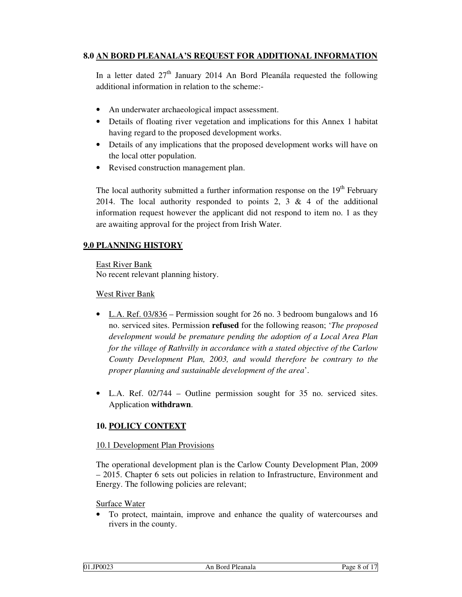# **8.0 AN BORD PLEANALA'S REQUEST FOR ADDITIONAL INFORMATION**

In a letter dated  $27<sup>th</sup>$  January 2014 An Bord Pleanála requested the following additional information in relation to the scheme:-

- An underwater archaeological impact assessment.
- Details of floating river vegetation and implications for this Annex 1 habitat having regard to the proposed development works.
- Details of any implications that the proposed development works will have on the local otter population.
- Revised construction management plan.

The local authority submitted a further information response on the  $19<sup>th</sup>$  February 2014. The local authority responded to points 2, 3  $\&$  4 of the additional information request however the applicant did not respond to item no. 1 as they are awaiting approval for the project from Irish Water.

# **9.0 PLANNING HISTORY**

East River Bank No recent relevant planning history.

#### West River Bank

- L.A. Ref. 03/836 Permission sought for 26 no. 3 bedroom bungalows and 16 no. serviced sites. Permission **refused** for the following reason; '*The proposed development would be premature pending the adoption of a Local Area Plan for the village of Rathvilly in accordance with a stated objective of the Carlow County Development Plan, 2003, and would therefore be contrary to the proper planning and sustainable development of the area*'.
- L.A. Ref. 02/744 Outline permission sought for 35 no. serviced sites. Application **withdrawn**.

# **10. POLICY CONTEXT**

#### 10.1 Development Plan Provisions

The operational development plan is the Carlow County Development Plan, 2009 – 2015. Chapter 6 sets out policies in relation to Infrastructure, Environment and Energy. The following policies are relevant;

Surface Water

• To protect, maintain, improve and enhance the quality of watercourses and rivers in the county.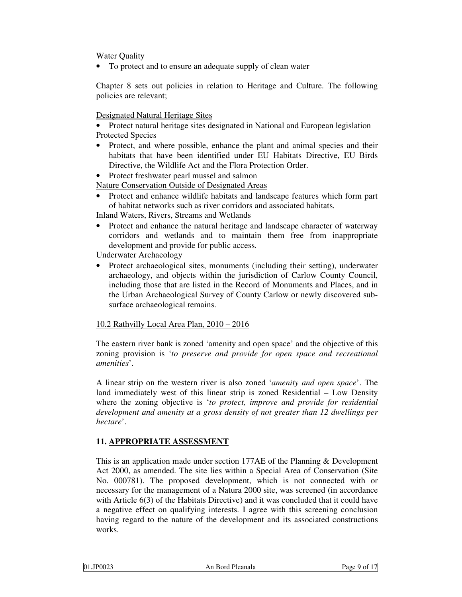Water Quality

• To protect and to ensure an adequate supply of clean water

Chapter 8 sets out policies in relation to Heritage and Culture. The following policies are relevant;

Designated Natural Heritage Sites

• Protect natural heritage sites designated in National and European legislation Protected Species

• Protect, and where possible, enhance the plant and animal species and their habitats that have been identified under EU Habitats Directive, EU Birds Directive, the Wildlife Act and the Flora Protection Order.

• Protect freshwater pearl mussel and salmon

Nature Conservation Outside of Designated Areas

• Protect and enhance wildlife habitats and landscape features which form part of habitat networks such as river corridors and associated habitats.

Inland Waters, Rivers, Streams and Wetlands

• Protect and enhance the natural heritage and landscape character of waterway corridors and wetlands and to maintain them free from inappropriate development and provide for public access.

Underwater Archaeology

• Protect archaeological sites, monuments (including their setting), underwater archaeology, and objects within the jurisdiction of Carlow County Council, including those that are listed in the Record of Monuments and Places, and in the Urban Archaeological Survey of County Carlow or newly discovered subsurface archaeological remains.

10.2 Rathvilly Local Area Plan, 2010 – 2016

The eastern river bank is zoned 'amenity and open space' and the objective of this zoning provision is '*to preserve and provide for open space and recreational amenities*'.

A linear strip on the western river is also zoned '*amenity and open space*'. The land immediately west of this linear strip is zoned Residential – Low Density where the zoning objective is '*to protect, improve and provide for residential development and amenity at a gross density of not greater than 12 dwellings per hectare*'.

# **11. APPROPRIATE ASSESSMENT**

This is an application made under section 177AE of the Planning & Development Act 2000, as amended. The site lies within a Special Area of Conservation (Site No. 000781). The proposed development, which is not connected with or necessary for the management of a Natura 2000 site, was screened (in accordance with Article 6(3) of the Habitats Directive) and it was concluded that it could have a negative effect on qualifying interests. I agree with this screening conclusion having regard to the nature of the development and its associated constructions works.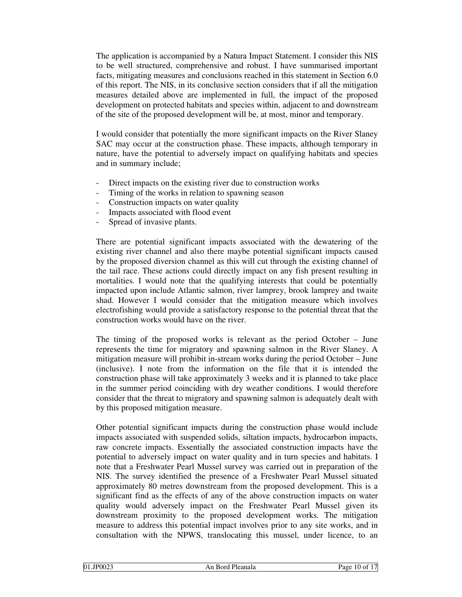The application is accompanied by a Natura Impact Statement. I consider this NIS to be well structured, comprehensive and robust. I have summarised important facts, mitigating measures and conclusions reached in this statement in Section 6.0 of this report. The NIS, in its conclusive section considers that if all the mitigation measures detailed above are implemented in full, the impact of the proposed development on protected habitats and species within, adjacent to and downstream of the site of the proposed development will be, at most, minor and temporary.

I would consider that potentially the more significant impacts on the River Slaney SAC may occur at the construction phase. These impacts, although temporary in nature, have the potential to adversely impact on qualifying habitats and species and in summary include;

- Direct impacts on the existing river due to construction works
- Timing of the works in relation to spawning season
- Construction impacts on water quality
- Impacts associated with flood event
- Spread of invasive plants.

There are potential significant impacts associated with the dewatering of the existing river channel and also there maybe potential significant impacts caused by the proposed diversion channel as this will cut through the existing channel of the tail race. These actions could directly impact on any fish present resulting in mortalities. I would note that the qualifying interests that could be potentially impacted upon include Atlantic salmon, river lamprey, brook lamprey and twaite shad. However I would consider that the mitigation measure which involves electrofishing would provide a satisfactory response to the potential threat that the construction works would have on the river.

The timing of the proposed works is relevant as the period October – June represents the time for migratory and spawning salmon in the River Slaney. A mitigation measure will prohibit in-stream works during the period October – June (inclusive). I note from the information on the file that it is intended the construction phase will take approximately 3 weeks and it is planned to take place in the summer period coinciding with dry weather conditions. I would therefore consider that the threat to migratory and spawning salmon is adequately dealt with by this proposed mitigation measure.

Other potential significant impacts during the construction phase would include impacts associated with suspended solids, siltation impacts, hydrocarbon impacts, raw concrete impacts. Essentially the associated construction impacts have the potential to adversely impact on water quality and in turn species and habitats. I note that a Freshwater Pearl Mussel survey was carried out in preparation of the NIS. The survey identified the presence of a Freshwater Pearl Mussel situated approximately 80 metres downstream from the proposed development. This is a significant find as the effects of any of the above construction impacts on water quality would adversely impact on the Freshwater Pearl Mussel given its downstream proximity to the proposed development works. The mitigation measure to address this potential impact involves prior to any site works, and in consultation with the NPWS, translocating this mussel, under licence, to an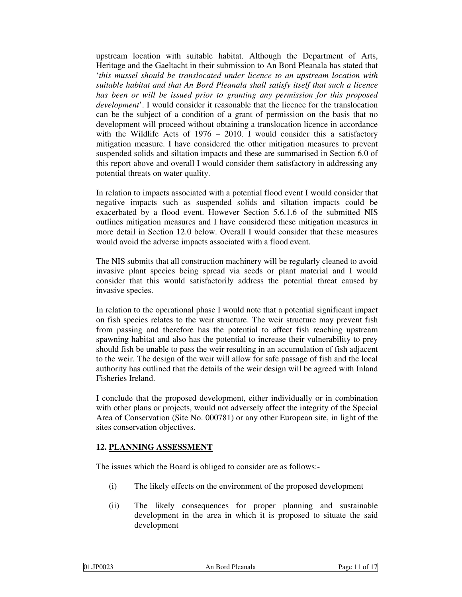upstream location with suitable habitat. Although the Department of Arts, Heritage and the Gaeltacht in their submission to An Bord Pleanala has stated that '*this mussel should be translocated under licence to an upstream location with suitable habitat and that An Bord Pleanala shall satisfy itself that such a licence has been or will be issued prior to granting any permission for this proposed development*'. I would consider it reasonable that the licence for the translocation can be the subject of a condition of a grant of permission on the basis that no development will proceed without obtaining a translocation licence in accordance with the Wildlife Acts of  $1976 - 2010$ . I would consider this a satisfactory mitigation measure. I have considered the other mitigation measures to prevent suspended solids and siltation impacts and these are summarised in Section 6.0 of this report above and overall I would consider them satisfactory in addressing any potential threats on water quality.

In relation to impacts associated with a potential flood event I would consider that negative impacts such as suspended solids and siltation impacts could be exacerbated by a flood event. However Section 5.6.1.6 of the submitted NIS outlines mitigation measures and I have considered these mitigation measures in more detail in Section 12.0 below. Overall I would consider that these measures would avoid the adverse impacts associated with a flood event.

The NIS submits that all construction machinery will be regularly cleaned to avoid invasive plant species being spread via seeds or plant material and I would consider that this would satisfactorily address the potential threat caused by invasive species.

In relation to the operational phase I would note that a potential significant impact on fish species relates to the weir structure. The weir structure may prevent fish from passing and therefore has the potential to affect fish reaching upstream spawning habitat and also has the potential to increase their vulnerability to prey should fish be unable to pass the weir resulting in an accumulation of fish adjacent to the weir. The design of the weir will allow for safe passage of fish and the local authority has outlined that the details of the weir design will be agreed with Inland Fisheries Ireland.

I conclude that the proposed development, either individually or in combination with other plans or projects, would not adversely affect the integrity of the Special Area of Conservation (Site No. 000781) or any other European site, in light of the sites conservation objectives.

#### **12. PLANNING ASSESSMENT**

The issues which the Board is obliged to consider are as follows:-

- (i) The likely effects on the environment of the proposed development
- (ii) The likely consequences for proper planning and sustainable development in the area in which it is proposed to situate the said development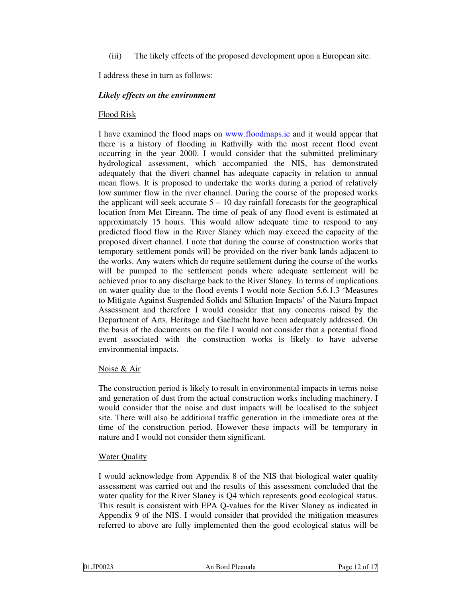(iii) The likely effects of the proposed development upon a European site.

I address these in turn as follows:

### *Likely effects on the environment*

#### Flood Risk

I have examined the flood maps on www.floodmaps.ie and it would appear that there is a history of flooding in Rathvilly with the most recent flood event occurring in the year 2000. I would consider that the submitted preliminary hydrological assessment, which accompanied the NIS, has demonstrated adequately that the divert channel has adequate capacity in relation to annual mean flows. It is proposed to undertake the works during a period of relatively low summer flow in the river channel. During the course of the proposed works the applicant will seek accurate  $5 - 10$  day rainfall forecasts for the geographical location from Met Eireann. The time of peak of any flood event is estimated at approximately 15 hours. This would allow adequate time to respond to any predicted flood flow in the River Slaney which may exceed the capacity of the proposed divert channel. I note that during the course of construction works that temporary settlement ponds will be provided on the river bank lands adjacent to the works. Any waters which do require settlement during the course of the works will be pumped to the settlement ponds where adequate settlement will be achieved prior to any discharge back to the River Slaney. In terms of implications on water quality due to the flood events I would note Section 5.6.1.3 'Measures to Mitigate Against Suspended Solids and Siltation Impacts' of the Natura Impact Assessment and therefore I would consider that any concerns raised by the Department of Arts, Heritage and Gaeltacht have been adequately addressed. On the basis of the documents on the file I would not consider that a potential flood event associated with the construction works is likely to have adverse environmental impacts.

#### Noise & Air

The construction period is likely to result in environmental impacts in terms noise and generation of dust from the actual construction works including machinery. I would consider that the noise and dust impacts will be localised to the subject site. There will also be additional traffic generation in the immediate area at the time of the construction period. However these impacts will be temporary in nature and I would not consider them significant.

#### **Water Quality**

I would acknowledge from Appendix 8 of the NIS that biological water quality assessment was carried out and the results of this assessment concluded that the water quality for the River Slaney is Q4 which represents good ecological status. This result is consistent with EPA Q-values for the River Slaney as indicated in Appendix 9 of the NIS. I would consider that provided the mitigation measures referred to above are fully implemented then the good ecological status will be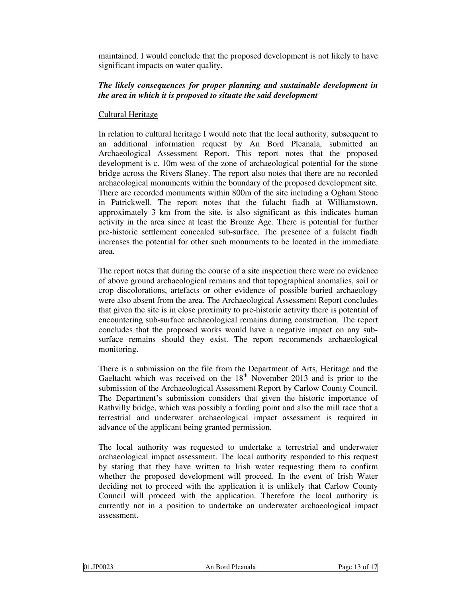maintained. I would conclude that the proposed development is not likely to have significant impacts on water quality.

#### *The likely consequences for proper planning and sustainable development in the area in which it is proposed to situate the said development*

# Cultural Heritage

In relation to cultural heritage I would note that the local authority, subsequent to an additional information request by An Bord Pleanala, submitted an Archaeological Assessment Report. This report notes that the proposed development is c. 10m west of the zone of archaeological potential for the stone bridge across the Rivers Slaney. The report also notes that there are no recorded archaeological monuments within the boundary of the proposed development site. There are recorded monuments within 800m of the site including a Ogham Stone in Patrickwell. The report notes that the fulacht fiadh at Williamstown, approximately 3 km from the site, is also significant as this indicates human activity in the area since at least the Bronze Age. There is potential for further pre-historic settlement concealed sub-surface. The presence of a fulacht fiadh increases the potential for other such monuments to be located in the immediate area.

The report notes that during the course of a site inspection there were no evidence of above ground archaeological remains and that topographical anomalies, soil or crop discolorations, artefacts or other evidence of possible buried archaeology were also absent from the area. The Archaeological Assessment Report concludes that given the site is in close proximity to pre-historic activity there is potential of encountering sub-surface archaeological remains during construction. The report concludes that the proposed works would have a negative impact on any subsurface remains should they exist. The report recommends archaeological monitoring.

There is a submission on the file from the Department of Arts, Heritage and the Gaeltacht which was received on the  $18<sup>th</sup>$  November 2013 and is prior to the submission of the Archaeological Assessment Report by Carlow County Council. The Department's submission considers that given the historic importance of Rathvilly bridge, which was possibly a fording point and also the mill race that a terrestrial and underwater archaeological impact assessment is required in advance of the applicant being granted permission.

The local authority was requested to undertake a terrestrial and underwater archaeological impact assessment. The local authority responded to this request by stating that they have written to Irish water requesting them to confirm whether the proposed development will proceed. In the event of Irish Water deciding not to proceed with the application it is unlikely that Carlow County Council will proceed with the application. Therefore the local authority is currently not in a position to undertake an underwater archaeological impact assessment.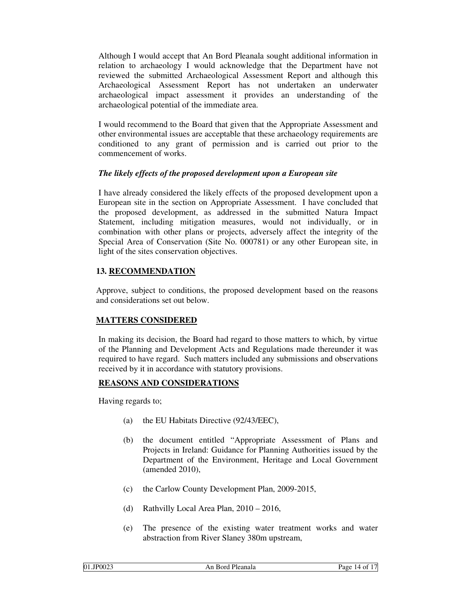Although I would accept that An Bord Pleanala sought additional information in relation to archaeology I would acknowledge that the Department have not reviewed the submitted Archaeological Assessment Report and although this Archaeological Assessment Report has not undertaken an underwater archaeological impact assessment it provides an understanding of the archaeological potential of the immediate area.

I would recommend to the Board that given that the Appropriate Assessment and other environmental issues are acceptable that these archaeology requirements are conditioned to any grant of permission and is carried out prior to the commencement of works.

#### *The likely effects of the proposed development upon a European site*

I have already considered the likely effects of the proposed development upon a European site in the section on Appropriate Assessment. I have concluded that the proposed development, as addressed in the submitted Natura Impact Statement, including mitigation measures, would not individually, or in combination with other plans or projects, adversely affect the integrity of the Special Area of Conservation (Site No. 000781) or any other European site, in light of the sites conservation objectives.

# **13. RECOMMENDATION**

Approve, subject to conditions, the proposed development based on the reasons and considerations set out below.

# **MATTERS CONSIDERED**

In making its decision, the Board had regard to those matters to which, by virtue of the Planning and Development Acts and Regulations made thereunder it was required to have regard. Such matters included any submissions and observations received by it in accordance with statutory provisions.

#### **REASONS AND CONSIDERATIONS**

Having regards to;

- (a) the EU Habitats Directive (92/43/EEC),
- (b) the document entitled "Appropriate Assessment of Plans and Projects in Ireland: Guidance for Planning Authorities issued by the Department of the Environment, Heritage and Local Government (amended 2010),
- (c) the Carlow County Development Plan, 2009-2015,
- (d) Rathvilly Local Area Plan, 2010 2016,
- (e) The presence of the existing water treatment works and water abstraction from River Slaney 380m upstream,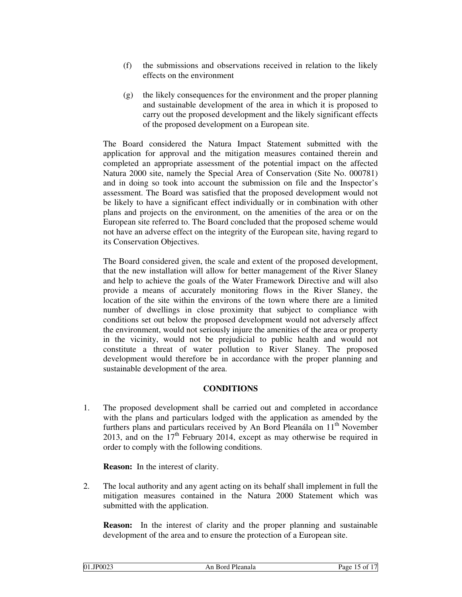- (f) the submissions and observations received in relation to the likely effects on the environment
- (g) the likely consequences for the environment and the proper planning and sustainable development of the area in which it is proposed to carry out the proposed development and the likely significant effects of the proposed development on a European site.

The Board considered the Natura Impact Statement submitted with the application for approval and the mitigation measures contained therein and completed an appropriate assessment of the potential impact on the affected Natura 2000 site, namely the Special Area of Conservation (Site No. 000781) and in doing so took into account the submission on file and the Inspector's assessment. The Board was satisfied that the proposed development would not be likely to have a significant effect individually or in combination with other plans and projects on the environment, on the amenities of the area or on the European site referred to. The Board concluded that the proposed scheme would not have an adverse effect on the integrity of the European site, having regard to its Conservation Objectives.

The Board considered given, the scale and extent of the proposed development, that the new installation will allow for better management of the River Slaney and help to achieve the goals of the Water Framework Directive and will also provide a means of accurately monitoring flows in the River Slaney, the location of the site within the environs of the town where there are a limited number of dwellings in close proximity that subject to compliance with conditions set out below the proposed development would not adversely affect the environment, would not seriously injure the amenities of the area or property in the vicinity, would not be prejudicial to public health and would not constitute a threat of water pollution to River Slaney. The proposed development would therefore be in accordance with the proper planning and sustainable development of the area.

#### **CONDITIONS**

1. The proposed development shall be carried out and completed in accordance with the plans and particulars lodged with the application as amended by the furthers plans and particulars received by An Bord Pleanála on  $11<sup>th</sup>$  November 2013, and on the  $17<sup>th</sup>$  February 2014, except as may otherwise be required in order to comply with the following conditions.

**Reason:** In the interest of clarity.

2. The local authority and any agent acting on its behalf shall implement in full the mitigation measures contained in the Natura 2000 Statement which was submitted with the application.

**Reason:** In the interest of clarity and the proper planning and sustainable development of the area and to ensure the protection of a European site.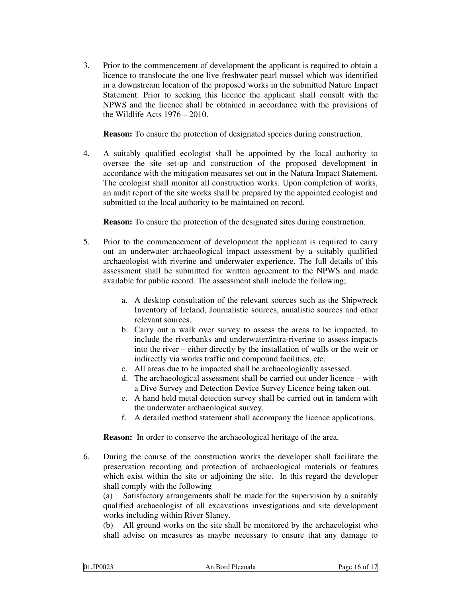3. Prior to the commencement of development the applicant is required to obtain a licence to translocate the one live freshwater pearl mussel which was identified in a downstream location of the proposed works in the submitted Nature Impact Statement. Prior to seeking this licence the applicant shall consult with the NPWS and the licence shall be obtained in accordance with the provisions of the Wildlife Acts 1976 – 2010.

**Reason:** To ensure the protection of designated species during construction.

4. A suitably qualified ecologist shall be appointed by the local authority to oversee the site set-up and construction of the proposed development in accordance with the mitigation measures set out in the Natura Impact Statement. The ecologist shall monitor all construction works. Upon completion of works, an audit report of the site works shall be prepared by the appointed ecologist and submitted to the local authority to be maintained on record.

**Reason:** To ensure the protection of the designated sites during construction.

- 5. Prior to the commencement of development the applicant is required to carry out an underwater archaeological impact assessment by a suitably qualified archaeologist with riverine and underwater experience. The full details of this assessment shall be submitted for written agreement to the NPWS and made available for public record. The assessment shall include the following;
	- a. A desktop consultation of the relevant sources such as the Shipwreck Inventory of Ireland, Journalistic sources, annalistic sources and other relevant sources.
	- b. Carry out a walk over survey to assess the areas to be impacted, to include the riverbanks and underwater/intra-riverine to assess impacts into the river – either directly by the installation of walls or the weir or indirectly via works traffic and compound facilities, etc.
	- c. All areas due to be impacted shall be archaeologically assessed.
	- d. The archaeological assessment shall be carried out under licence with a Dive Survey and Detection Device Survey Licence being taken out.
	- e. A hand held metal detection survey shall be carried out in tandem with the underwater archaeological survey.
	- f. A detailed method statement shall accompany the licence applications.

 **Reason:** In order to conserve the archaeological heritage of the area.

6. During the course of the construction works the developer shall facilitate the preservation recording and protection of archaeological materials or features which exist within the site or adjoining the site. In this regard the developer shall comply with the following

 (a) Satisfactory arrangements shall be made for the supervision by a suitably qualified archaeologist of all excavations investigations and site development works including within River Slaney.

 (b) All ground works on the site shall be monitored by the archaeologist who shall advise on measures as maybe necessary to ensure that any damage to